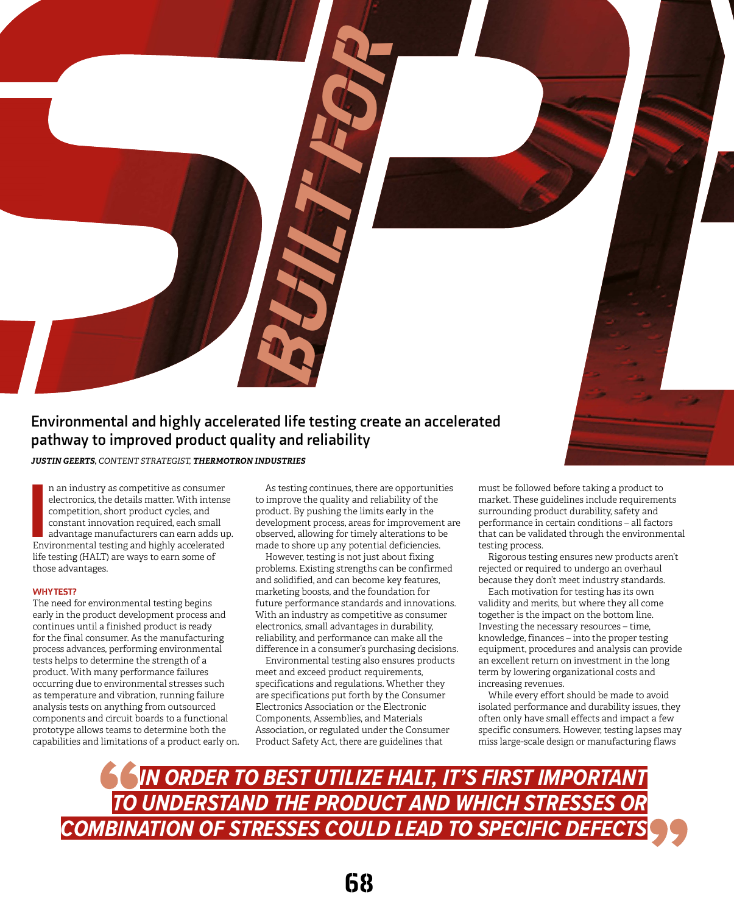

n an industry as competitive as consumer<br>electronics, the details matter. With intens<br>competition, short product cycles, and<br>constant innovation required, each small<br>advantage manufacturers can earn adds up<br>Environmental t n an industry as competitive as consumer electronics, the details matter. With intense competition, short product cycles, and constant innovation required, each small advantage manufacturers can earn adds up. life testing (HALT) are ways to earn some of those advantages.

## WHY **TEST?**

The need for environmental testing begins early in the product development process and continues until a finished product is ready for the final consumer. As the manufacturing process advances, performing environmental tests helps to determine the strength of a product. With many performance failures occurring due to environmental stresses such as temperature and vibration, running failure analysis tests on anything from outsourced components and circuit boards to a functional prototype allows teams to determine both the capabilities and limitations of a product early on.

As testing continues, there are opportunities to improve the quality and reliability of the product. By pushing the limits early in the development process, areas for improvement are observed, allowing for timely alterations to be made to shore up any potential deficiencies.

However, testing is not just about fixing problems. Existing strengths can be confirmed and solidified, and can become key features, marketing boosts, and the foundation for future performance standards and innovations. With an industry as competitive as consumer electronics, small advantages in durability, reliability, and performance can make all the difference in a consumer's purchasing decisions.

Environmental testing also ensures products meet and exceed product requirements, specifications and regulations. Whether they are specifications put forth by the Consumer Electronics Association or the Electronic Components, Assemblies, and Materials Association, or regulated under the Consumer Product Safety Act, there are guidelines that

must be followed before taking a product to market. These guidelines include requirements surrounding product durability, safety and performance in certain conditions – all factors that can be validated through the environmental testing process.

Rigorous testing ensures new products aren't rejected or required to undergo an overhaul because they don't meet industry standards.

Each motivation for testing has its own validity and merits, but where they all come together is the impact on the bottom line. Investing the necessary resources – time, knowledge, finances – into the proper testing equipment, procedures and analysis can provide an excellent return on investment in the long term by lowering organizational costs and increasing revenues.

While every effort should be made to avoid isolated performance and durability issues, they often only have small effects and impact a few specific consumers. However, testing lapses may miss large-scale design or manufacturing flaws

*IN ORDER TO BEST UTILIZE HALT, IT'S FIRST IMPORTANT TO UNDERSTAND THE PRODUCT AND WHICH STRESSES OR COMBINATION OF STRESSES COULD LEAD TO SPECIFIC DEFECTS*